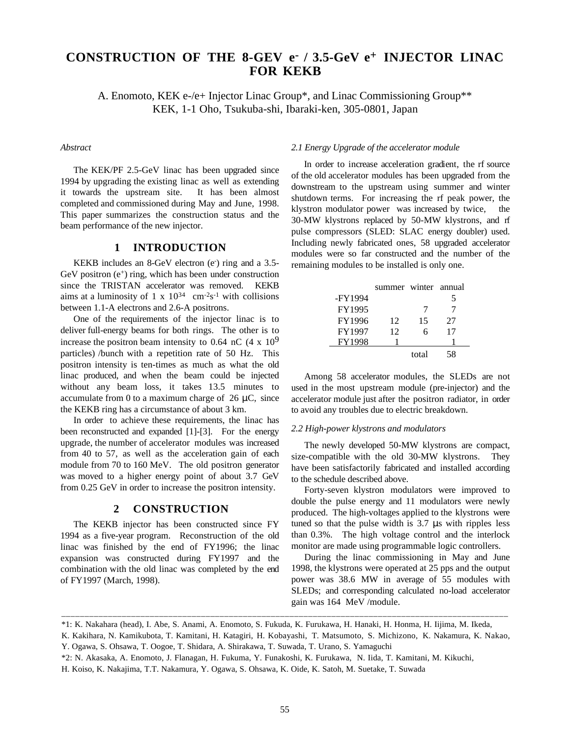# **CONSTRUCTION OF THE 8-GEV e- / 3.5-GeV e+ INJECTOR LINAC FOR KEKB**

A. Enomoto, KEK e-/e+ Injector Linac Group\*, and Linac Commissioning Group\*\* KEK, 1-1 Oho, Tsukuba-shi, Ibaraki-ken, 305-0801, Japan

#### *Abstract*

The KEK/PF 2.5-GeV linac has been upgraded since 1994 by upgrading the existing linac as well as extending it towards the upstream site. It has been almost completed and commissioned during May and June, 1998. This paper summarizes the construction status and the beam performance of the new injector.

# **1 INTRODUCTION**

KEKB includes an 8-GeV electron (e<sup>-</sup>) ring and a 3.5-GeV positron  $(e^+)$  ring, which has been under construction since the TRISTAN accelerator was removed. KEKB aims at a luminosity of 1 x  $10^{34}$  cm<sup>-2</sup>s<sup>-1</sup> with collisions between 1.1-A electrons and 2.6-A positrons.

One of the requirements of the injector linac is to deliver full-energy beams for both rings. The other is to increase the positron beam intensity to 0.64 nC  $(4 \times 10^9)$ particles) /bunch with a repetition rate of 50 Hz. This positron intensity is ten-times as much as what the old linac produced, and when the beam could be injected without any beam loss, it takes 13.5 minutes to accumulate from 0 to a maximum charge of  $26 \mu C$ , since the KEKB ring has a circumstance of about 3 km.

In order to achieve these requirements, the linac has been reconstructed and expanded [1]-[3]. For the energy upgrade, the number of accelerator modules was increased from 40 to 57, as well as the acceleration gain of each module from 70 to 160 MeV. The old positron generator was moved to a higher energy point of about 3.7 GeV from 0.25 GeV in order to increase the positron intensity.

## **2 CONSTRUCTION**

The KEKB injector has been constructed since FY 1994 as a five-year program. Reconstruction of the old linac was finished by the end of FY1996; the linac expansion was constructed during FY1997 and the combination with the old linac was completed by the end of FY1997 (March, 1998).

#### *2.1 Energy Upgrade of the accelerator module*

In order to increase acceleration gradient, the rf source of the old accelerator modules has been upgraded from the downstream to the upstream using summer and winter shutdown terms. For increasing the rf peak power, the klystron modulator power was increased by twice, the 30-MW klystrons replaced by 50-MW klystrons, and rf pulse compressors (SLED: SLAC energy doubler) used. Including newly fabricated ones, 58 upgraded accelerator modules were so far constructed and the number of the remaining modules to be installed is only one.

|               | summer winter annual |       |    |
|---------------|----------------------|-------|----|
| -FY1994       |                      |       |    |
| FY1995        |                      | 7     |    |
| FY1996        | 12                   | 15    | 27 |
| FY1997        | 12                   | 6     | 17 |
| <b>FY1998</b> |                      |       |    |
|               |                      | total | 58 |

Among 58 accelerator modules, the SLEDs are not used in the most upstream module (pre-injector) and the accelerator module just after the positron radiator, in order to avoid any troubles due to electric breakdown.

#### *2.2 High-power klystrons and modulators*

The newly developed 50-MW klystrons are compact, size-compatible with the old 30-MW klystrons. They have been satisfactorily fabricated and installed according to the schedule described above.

Forty-seven klystron modulators were improved to double the pulse energy and 11 modulators were newly produced. The high-voltages applied to the klystrons were tuned so that the pulse width is 3.7 µs with ripples less than 0.3%. The high voltage control and the interlock monitor are made using programmable logic controllers.

During the linac commissioning in May and June 1998, the klystrons were operated at 25 pps and the output power was 38.6 MW in average of 55 modules with SLEDs; and corresponding calculated no-load accelerator gain was 164 MeV /module.

\_\_\_\_\_\_\_\_\_\_\_\_\_\_\_\_\_\_\_\_\_\_\_\_\_\_\_\_\_\_\_\_\_\_\_\_\_\_\_\_\_\_\_\_\_\_\_\_\_\_\_\_\_\_\_\_\_\_\_\_\_\_\_\_\_\_\_\_\_\_\_\_\_\_\_\_\_\_\_\_\_\_\_\_\_\_\_\_\_\_\_\_\_\_\_\_

<sup>\*1:</sup> K. Nakahara (head), I. Abe, S. Anami, A. Enomoto, S. Fukuda, K. Furukawa, H. Hanaki, H. Honma, H. Iijima, M. Ikeda,

K. Kakihara, N. Kamikubota, T. Kamitani, H. Katagiri, H. Kobayashi, T. Matsumoto, S. Michizono, K. Nakamura, K. Nakao, Y. Ogawa, S. Ohsawa, T. Oogoe, T. Shidara, A. Shirakawa, T. Suwada, T. Urano, S. Yamaguchi

<sup>\*2:</sup> N. Akasaka, A. Enomoto, J. Flanagan, H. Fukuma, Y. Funakoshi, K. Furukawa, N. Iida, T. Kamitani, M. Kikuchi,

H. Koiso, K. Nakajima, T.T. Nakamura, Y. Ogawa, S. Ohsawa, K. Oide, K. Satoh, M. Suetake, T. Suwada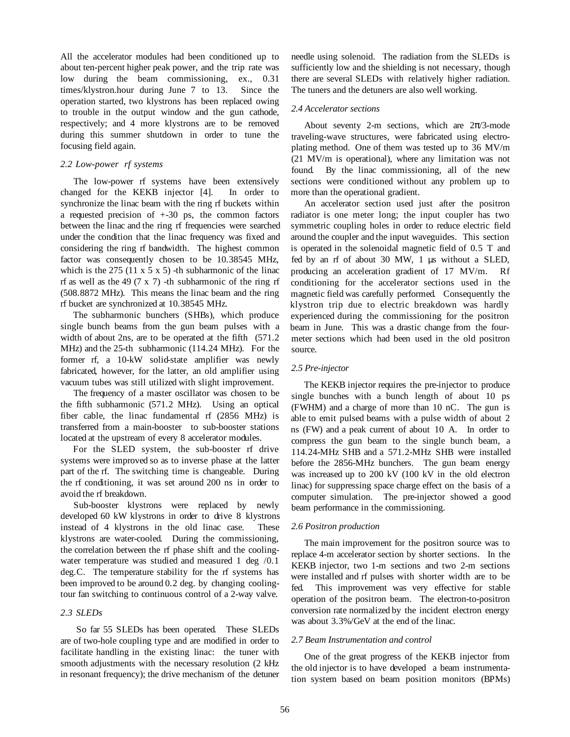All the accelerator modules had been conditioned up to about ten-percent higher peak power, and the trip rate was low during the beam commissioning, ex., 0.31 times/klystron.hour during June 7 to 13. Since the operation started, two klystrons has been replaced owing to trouble in the output window and the gun cathode, respectively; and 4 more klystrons are to be removed during this summer shutdown in order to tune the focusing field again.

## *2.2 Low-power rf systems*

The low-power rf systems have been extensively changed for the KEKB injector [4]. In order to synchronize the linac beam with the ring rf buckets within a requested precision of +-30 ps, the common factors between the linac and the ring rf frequencies were searched under the condition that the linac frequency was fixed and considering the ring rf bandwidth. The highest common factor was consequently chosen to be 10.38545 MHz, which is the  $275$  (11 x 5 x 5) -th subharmonic of the linac rf as well as the 49  $(7 \times 7)$  -th subharmonic of the ring rf (508.8872 MHz). This means the linac beam and the ring rf bucket are synchronized at 10.38545 MHz.

The subharmonic bunchers (SHBs), which produce single bunch beams from the gun beam pulses with a width of about 2ns, are to be operated at the fifth (571.2 MHz) and the 25-th subharmonic (114.24 MHz). For the former rf, a 10-kW solid-state amplifier was newly fabricated, however, for the latter, an old amplifier using vacuum tubes was still utilized with slight improvement.

The frequency of a master oscillator was chosen to be the fifth subharmonic (571.2 MHz). Using an optical fiber cable, the linac fundamental rf (2856 MHz) is transferred from a main-booster to sub-booster stations located at the upstream of every 8 accelerator modules.

For the SLED system, the sub-booster rf drive systems were improved so as to inverse phase at the latter part of the rf. The switching time is changeable. During the rf conditioning, it was set around 200 ns in order to avoid the rf breakdown.

Sub-booster klystrons were replaced by newly developed 60 kW klystrons in order to drive 8 klystrons instead of 4 klystrons in the old linac case. These klystrons are water-cooled. During the commissioning, the correlation between the rf phase shift and the coolingwater temperature was studied and measured 1 deg /0.1 deg.C. The temperature stability for the rf systems has been improved to be around 0.2 deg. by changing coolingtour fan switching to continuous control of a 2-way valve.

#### *2.3 SLEDs*

So far 55 SLEDs has been operated. These SLEDs are of two-hole coupling type and are modified in order to facilitate handling in the existing linac: the tuner with smooth adjustments with the necessary resolution (2 kHz in resonant frequency); the drive mechanism of the detuner needle using solenoid. The radiation from the SLEDs is sufficiently low and the shielding is not necessary, though there are several SLEDs with relatively higher radiation. The tuners and the detuners are also well working.

## *2.4 Accelerator sections*

About seventy 2-m sections, which are  $2\pi/3$ -mode traveling-wave structures, were fabricated using electroplating method. One of them was tested up to 36 MV/m (21 MV/m is operational), where any limitation was not found. By the linac commissioning, all of the new sections were conditioned without any problem up to more than the operational gradient.

An accelerator section used just after the positron radiator is one meter long; the input coupler has two symmetric coupling holes in order to reduce electric field around the coupler and the input waveguides. This section is operated in the solenoidal magnetic field of 0.5 T and fed by an rf of about 30 MW, 1 µs without a SLED, producing an acceleration gradient of 17 MV/m. Rf conditioning for the accelerator sections used in the magnetic field was carefully performed. Consequently the klystron trip due to electric breakdown was hardly experienced during the commissioning for the positron beam in June. This was a drastic change from the fourmeter sections which had been used in the old positron source.

## *2.5 Pre-injector*

The KEKB injector requires the pre-injector to produce single bunches with a bunch length of about 10 ps (FWHM) and a charge of more than 10 nC. The gun is able to emit pulsed beams with a pulse width of about 2 ns (FW) and a peak current of about 10 A. In order to compress the gun beam to the single bunch beam, a 114.24-MHz SHB and a 571.2-MHz SHB were installed before the 2856-MHz bunchers. The gun beam energy was increased up to 200 kV (100 kV in the old electron linac) for suppressing space charge effect on the basis of a computer simulation. The pre-injector showed a good beam performance in the commissioning.

# *2.6 Positron production*

The main improvement for the positron source was to replace 4-m accelerator section by shorter sections. In the KEKB injector, two 1-m sections and two 2-m sections were installed and rf pulses with shorter width are to be fed. This improvement was very effective for stable operation of the positron beam. The electron-to-positron conversion rate normalized by the incident electron energy was about 3.3%/GeV at the end of the linac.

# *2.7 Beam Instrumentation and control*

One of the great progress of the KEKB injector from the old injector is to have developed a beam instrumentation system based on beam position monitors (BPMs)